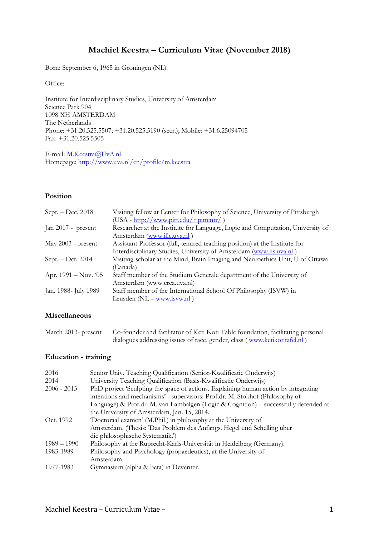# **Machiel Keestra – Curriculum Vitae (November 2018)**

Born: September 6, 1965 in Groningen (NL).

Office:

Institute for Interdisciplinary Studies, University of Amsterdam Science Park 904 1098 XH AMSTERDAM The Netherlands Phone: +31.20.525.5507; +31.20.525.5190 (secr.); Mobile: +31.6.25094705 Fax: +31.20.525.5505

E-mail: M.Keestra@UvA.nl Homepage: http://www.uva.nl/en/profile/m.keestra

# **Position**

| Visiting fellow at Center for Philosophy of Science, University of Pittsburgh  |
|--------------------------------------------------------------------------------|
| $(USA - http://www.pitt.edu/~pittcntr/)$                                       |
| Researcher at the Institute for Language, Logic and Computation, University of |
| Amsterdam (www.illc.uva.nl)                                                    |
| Assistant Professor (full, tenured teaching position) at the Institute for     |
| Interdisciplinary Studies, University of Amsterdam (www.iis.uva.nl)            |
| Visiting scholar at the Mind, Brain Imaging and Neuroethics Unit, U of Ottawa  |
| (Canada)                                                                       |
| Staff member of the Studium Generale department of the University of           |
| Amsterdam (www.crea.uva.nl)                                                    |
| Staff member of the International School Of Philosophy (ISVW) in               |
| Leusden $(NL - www.isvw.nl)$                                                   |
|                                                                                |

# **Miscellaneous**

| March 2013- present | Co-founder and facilitator of Keti Koti Table foundation, facilitating personal |
|---------------------|---------------------------------------------------------------------------------|
|                     | dialogues addressing issues of race, gender, class (www.ketikotitafel.nl)       |

# **Education - training**

| 2016          | Senior Univ. Teaching Qualification (Senior-Kwalificatie Onderwijs)                  |
|---------------|--------------------------------------------------------------------------------------|
| 2014          | University Teaching Qualification (Basis-Kwalificatie Onderwijs)                     |
| $2006 - 2013$ | PhD project 'Sculpting the space of actions. Explaining human action by integrating  |
|               | intentions and mechanisms' - supervisors: Prof.dr. M. Stokhof (Philosophy of         |
|               | Language) & Prof.dr. M. van Lambalgen (Logic & Cognition) – successfully defended at |
|               | the University of Amsterdam, Jan. 15, 2014.                                          |
| Oct. 1992     | 'Doctoraal examen' (M.Phil.) in philosophy at the University of                      |
|               | Amsterdam. (Thesis: 'Das Problem des Anfangs. Hegel und Schelling über               |
|               | die philosophische Systematik.')                                                     |
| $1989 - 1990$ | Philosophy at the Ruprecht-Karls-Universität in Heidelberg (Germany).                |
| 1983-1989     | Philosophy and Psychology (propaedeutics), at the University of                      |
|               | Amsterdam.                                                                           |
| 1977-1983     | Gymnasium (alpha & beta) in Deventer.                                                |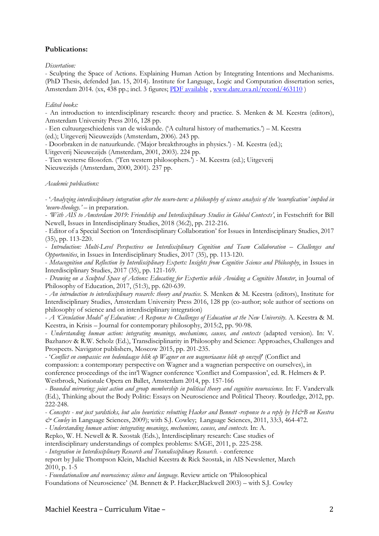# **Publications:**

*Dissertation:*

- Sculpting the Space of Actions. Explaining Human Action by Integrating Intentions and Mechanisms. (PhD Thesis, defended Jan. 15, 2014). Institute for Language, Logic and Computation dissertation series, Amsterdam 2014. (xx, 438 pp.; incl. 3 figures; PDF available, www.dare.uva.nl/record/463110)

#### *Edited books:*

- An introduction to interdisciplinary research: theory and practice. S. Menken & M. Keestra (editors), Amsterdam University Press 2016, 128 pp.

- Een cultuurgeschiedenis van de wiskunde. ('A cultural history of mathematics.') – M. Keestra

(ed.); Uitgeverij Nieuwezijds (Amsterdam, 2006). 243 pp.

- Doorbraken in de natuurkunde. ('Major breakthroughs in physics.') - M. Keestra (ed.); Uitgeverij Nieuwezijds (Amsterdam, 2001, 2003). 224 pp.

- Tien westerse filosofen. ('Ten western philosophers.') - M. Keestra (ed.); Uitgeverij Nieuwezijds (Amsterdam, 2000, 2001). 237 pp.

*Academic publications:*

- '*Analyzing interdisciplinary integration after the neuro-turn: a philosophy of science analysis of the 'neurofication' implied in 'neuro-theology.' –* in preparation.

- *'With AIS to Amsterdam 2019: Friendship and Interdisciplinary Studies in Global Contexts'*, in Festschrift for Bill Newell, Issues in Interdisciplinary Studies, 2018 (36:2), pp. 212-216.

- Editor of a Special Section on 'Interdisciplinary Collaboration' for Issues in Interdisciplinary Studies, 2017 (35), pp. 113-220.

- *Introduction: Multi-Level Perspectives on Interdisciplinary Cognition and Team Collaboration – Challenges and Opportunities*, in Issues in Interdisciplinary Studies, 2017 (35), pp. 113-120.

- *Metacognition and Reflection by Interdisciplinary Experts: Insights from Cognitive Science and Philosophy*, in Issues in Interdisciplinary Studies, 2017 (35), pp. 121-169.

- *Drawing on a Sculpted Space of Actions: Educating for Expertise while Avoiding a Cognitive Monster*, in Journal of Philosophy of Education, 2017, (51:3), pp. 620-639.

- *An introduction to interdisciplinary research: theory and practice*. S. Menken & M. Keestra (editors), Institute for Interdisciplinary Studies, Amsterdam University Press 2016, 128 pp (co-author; sole author of sections on philosophy of science and on interdisciplinary integration)

- *A 'Circulation Model' of Education: A Response to Challenges of Education at the New University*. A. Keestra & M. Keestra, in Krisis – Journal for contemporary philosophy, 2015:2, pp. 90-98.

- *Understanding human action: integrating meanings, mechanisms, causes, and contexts* (adapted version). In: V. Bazhanov & R.W. Scholz (Ed.), Transdisciplinarity in Philosophy and Science: Approaches, Challenges and Prospects. Navigator publishers, Moscow 2015, pp. 201-235.

- '*Conflict en compassie: een hedendaagse blik op Wagner en een wagneriaanse blik op onszelf*' (Conflict and compassion: a contemporary perspective on Wagner and a wagnerian perspective on ourselves), in conference proceedings of the int'l Wagner conference 'Conflict and Compassion', ed. R. Helmers & P.

Westbroek, Nationale Opera en Ballet, Amsterdam 2014, pp. 157-166

- *Bounded mirroring: joint action and group membership in political theory and cognitive neuroscience*. In: F. Vandervalk (Ed.), Thinking about the Body Politic: Essays on Neuroscience and Political Theory. Routledge, 2012, pp. 222-248.

- Concepts - not just yardsticks, but also heuristics: rebutting Hacker and Bennett -response to a reply by H&B on Keestra *& Cowley* in Language Sciences, 2009); with S.J. Cowley; Language Sciences, 2011, 33:3, 464-472.

- *Understanding human action: integrating meanings, mechanisms, causes, and contexts*. In: A.

Repko, W. H. Newell & R. Szostak (Eds.), Interdisciplinary research: Case studies of

interdisciplinary understandings of complex problems: SAGE, 2011, p. 225-258.

- *Integration in Interdisciplinary Research and Transdisciplinary Research*. - conference

report by Julie Thompson Klein, Machiel Keestra & Rick Szostak, in AIS Newsletter, March 2010, p. 1-5

- *Foundationalism and neuroscience; silence and language*. Review article on 'Philosophical

Foundations of Neuroscience' (M. Bennett & P. Hacker;Blackwell 2003) – with S.J. Cowley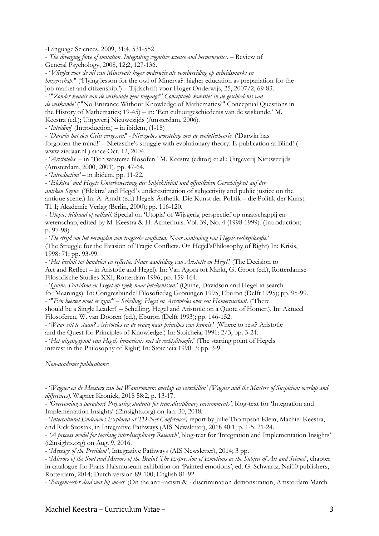-Language Sciences, 2009, 31;4, 531-552

- *The diverging force of imitation. Integrating cognitive science and hermeneutics*. – Review of General Psychology, 2008, 12;2, 127-136.

- '*Vliegles voor de uil van Minerva?: hoger onderwijs als voorbereiding op arbeidsmarkt en burgerschap*." ('Flying lesson for the owl of Minerva?: higher education as prepariation for the job market and citizenship.') – Tijdschrift voor Hoger Onderwijs, 25, 2007/2; 69-83.

- '"*Zonder kennis van de wiskunde geen toegang?" Conceptuele kwesties in de geschiedenis van*

*de wiskunde'* ('"No Entrance Without Knowledge of Mathematics?" Conceptual Questions in the History of Mathematics; 19-45) – in: 'Een cultuurgeschiedenis van de wiskunde.' M. Keestra (ed.); Uitgeverij Nieuwezijds (Amsterdam, 2006).

- '*Inleiding*' (Introduction) – in ibidem, (1-18)

- *'Darwin hat den Geist vergessen!' - Nietzsches worsteling met de evolutietheorie*. ('Darwin has forgotten the mind!' – Nietzsche's struggle with evolutionary theory. E-publication at Blind! ( www.ziedaar.nl ) since Oct. 12, 2004.

- '*Aristoteles'* – in 'Tien westerse filosofen.' M. Keestra (editor) et.al.; Uitgeverij Nieuwezijds (Amsterdam, 2000, 2001), pp. 47-64.

- '*Introduction'* – in ibidem, pp. 11-22.

- '*Elektra' und Hegels Unterbewertung der Subjektivität und öffentlichen Gerechtigkeit auf der antiken Szene*. ('Elektra' and Hegel's underestimation of subjectivity and public justice on the antique scene.) In: A. Arndt (ed.) Hegels Ästhetik. Die Kunst der Politik – die Politik der Kunst. Tl. I; Akademie Verlag (Berlin, 2000); pp. 116-120.

- *Utopie: leidraad of valkuil*. Special on 'Utopia' of Wijsgerig perspectief op maatschappij en wetenschap, edited by M. Keestra & H. Achterhuis. Vol. 39, No. 4 (1998-1999). (Introduction; p. 97-98)

- '*De strijd om het vermijden van tragische conflicten. Naar aanleiding van Hegels rechtsfilosofie*.' (The Struggle for the Evasion of Tragic Conflicts. On Hegel'sPhilosophy of Right) In: Krisis, 1998: 71; pp. 93-99.

- '*Het besluit tot handelen en reflectie. Naar aanleiding van Aristotle en Hegel*.' (The Decision to Act and Reflect – in Aristotle and Hegel). In: Van Agora tot Markt, G. Groot (ed.), Rotterdamse Filosofische Studies XXI, Rotterdam 1996; pp. 159-164.

- '*Quine, Davidson en Hegel op zoek naar betekenissen*.' (Quine, Davidson and Hegel in search for Meanings). In: Congresbundel Filosofiedag Groningen 1995, Eburon (Delft 1995); pp. 95-99. - '"*Eén heerser moet er zijn!" – Schelling, Hegel en Aristoteles over een Homeruscitaat*. ('There

should be a Single Leader!' – Schelling, Hegel and Aristotle on a Quote of Homer.). In: Aktueel Filosoferen, W. van Dooren (ed.), Eburon (Delft 1993); pp. 146-152.

- '*Waar stil te staan? Aristoteles en de vraag naar principes van kennis*.' (Where to rest? Aristotle

and the Quest for Principles of Knowledge.) In: Stoicheia, 1991: 2/3; pp. 3-24.

- '*Het uitgangspunt van Hegels bemoeienis met de rechtsfilosofie*.' (The starting point of Hegels interest in the Philosophy of Right) In: Stoicheia 1990: 3; pp. 3-9.

*Non-academic publications:*

- '*Wagner en de Meesters van het Wantrouwen: overlap en verschillen' (Wagner and the Masters of Suspicion: overlap and differences),* Wagner Kroniek, 2018 58:2, p. 13-17.

- *'Overcoming a paradox? Preparing students for transdisciplinary environments'*, blog-text for 'Integration and Implementation Insights' (i2insights.org) on Jan. 30, 2018.

- '*Intercultural Endeavors Explored at TD-Net Conference',* report by Julie Thompson Klein, Machiel Keestra, and Rick Szostak, in Integrative Pathways (AIS Newsletter), 2018 40:1, p. 1-5; 21-24.

- *'A process model for teaching interdisciplinary Research'*, blog-text for 'Integration and Implementation Insights' (i2insights.org) on Aug. 9, 2016.

- '*Message of the President'*, Integrative Pathways (AIS Newsletter), 2014; 3 pp.

- '*Mirrors of the Soul and Mirrors of the Brain? The Expression of Emotions as the Subject of Art and Science*', chapter in catalogue for Frans Halsmuseum exhibition on 'Painted emotions', ed. G. Schwartz, Nai10 publishers, Rotterdam, 2014; Dutch version 89-100; English 81-92.

- '*Burgemeester deed wat hij moest'* (On the anti-racism & - discrimination demonstration, Amsterdam March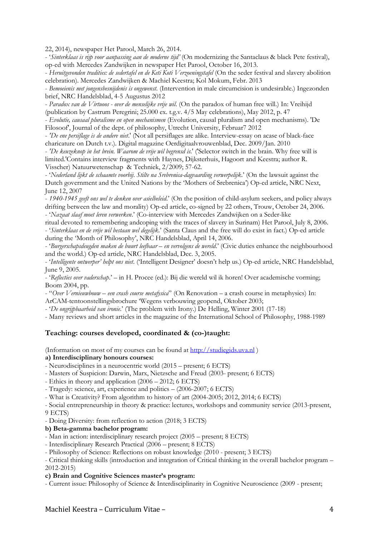22, 2014), newspaper Het Parool, March 26, 2014.

- '*Sinterklaas is rijp voor aanpassing aan de moderne tijd'* (On modernizing the Santaclaus & black Pete festival), op-ed with Mercedes Zandwijken in newspaper Het Parool, October 16, 2013.

- *Heruitgevonden tradities: de sedertafel en de Keti Koti Verzoeningstafel* (On the seder festival and slavery abolition celebration). Mercedes Zandwijken & Machiel Keestra; Kol Mokum, Febr. 2013

- *Bemoeienis met jongensbesnijdenis is ongewenst*. (Intervention in male circumcision is undesirable.) Ingezonden brief, NRC Handelsblad, 4-5 Augustus 2012

- *Paradox van de Virtuoos - over de menselijke vrije wil*. (On the paradox of human free will.) In: Vreihijd (publication by Castrum Peregrini; 25.000 ex. t.g.v. 4/5 May celebrations), May 2012, p. 47

- *Evolutie, causaal pluralisme en open mechanismen* (Evolution, causal pluralism and open mechanisms). 'De Filosoof', Journal of the dept. of philosophy, Utrecht University, Februar7 2012

- *'De ene persiflage is de andere niet*.' (Not all persiflages are alike. Interview-essay on acase of black-face charicature on Dutch t.v.). Digital magazine Oerdigitaalvrouwenblad, Dec. 2009/Jan. 2010

- *'De keuzeknop in het brein. Waarom de vrije wil begrensd is*.' ('Selector switch in the brain. Why free will is limited.'Contains interview fragments with Haynes, Dijksterhuis, Hagoort and Keestra; author R. Visscher) Natuurwetenschap & Techniek, 2/2009; 57-62.

- '*Nederland lijkt de schaamte voorbij. Stilte na Srebrenica-dagvaarding verwerpelijk*.' (On the lawsuit against the Dutch government and the United Nations by the 'Mothers of Srebrenica') Op-ed article, NRC Next, June 12, 2007

- *1940-1945 geeft ons wel te denken over asielbeleid*.' (On the position of child-asylum seekers, and policy always drifting between the law and morality) Op-ed article, co-signed by 22 others, Trouw, October 24, 2006. - '*Nazaat slaaf moet leren verwerken*.' (Co-interview with Mercedes Zandwijken on a Seder-like

ritual devoted to remembering andcoping with the traces of slavery in Surinam) Het Parool, July 8, 2006. - '*Sinterklaas en de vrije wil bestaan wel degelijk*.' (Santa Claus and the free will do exist in fact.) Op-ed article during the 'Month of Philosophy', NRC Handelsblad, April 14, 2006.

- '*Burgerschapsdeugden maken de buurt leefbaar – en vervolgens de wereld*.' (Civic duties enhance the neighbourhood and the world.) Op-ed article, NRC Handelsblad, Dec. 3, 2005.

- '*Intelligente ontwerper' helpt ons niet*. ('Intelligent Designer' doesn't help us.) Op-ed article, NRC Handelsblad, June 9, 2005.

- '*Reflecties over vaderschap*.' – in H. Procee (ed.): Bij die wereld wil ik horen! Over academische vorming; Boom 2004, pp.

- "*Over Vernieuwbouw – een crash course metafysica*" (On Renovation – a crash course in metaphysics) In:

ArCAM-tentoonstellingsbrochure 'Wegens verbouwing geopend, Oktober 2003;

- '*De ongrijpbaarheid van ironie*.' (The problem with Irony.) De Helling, Winter 2001 (17-18)

- Many reviews and short articles in the magazine of the International School of Philosophy, 1988-1989

## **Teaching: courses developed, coordinated & (co-)taught:**

(Information on most of my courses can be found at http://studiegids.uva.nl )

## **a) Interdisciplinary honours courses:**

- Neurodisciplines in a neurocentric world (2015 – present; 6 ECTS)

- Masters of Suspicion: Darwin, Marx, Nietzsche and Freud (2003- present; 6 ECTS)

- Ethics in theory and application (2006 2012; 6 ECTS)
- Tragedy: science, art, experience and politics (2006-2007; 6 ECTS)

- What is Creativity? From algorithm to history of art (2004-2005; 2012, 2014; 6 ECTS)

- Social entrepreneurship in theory & practice: lectures, workshops and community service (2013-present, 9 ECTS)

- Doing Diversity: from reflection to action (2018; 3 ECTS)

#### **b) Beta-gamma bachelor program:**

- Man in action: interdisciplinary research project (2005 – present; 8 ECTS)

- Interdisciplinary Research Practical (2006 – present; 8 ECTS)

- Philosophy of Science: Reflections on robust knowledge (2010 - present; 3 ECTS)

- Critical thinking skills (introduction and integration of Critical thinking in the overall bachelor program – 2012-2015)

#### **c) Brain and Cognitive Sciences master's program:**

- Current issue: Philosophy of Science & Interdisciplinarity in Cognitive Neuroscience (2009 - present;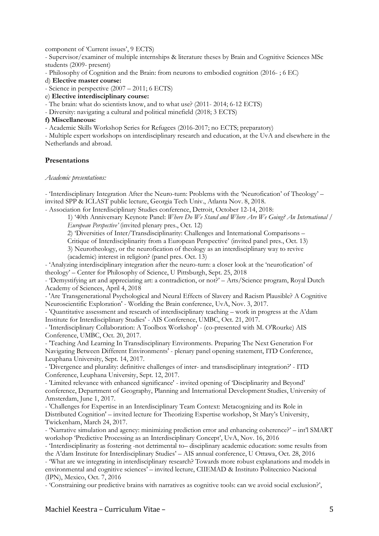component of 'Current issues', 9 ECTS)

- Supervisor/examiner of multiple internships & literature theses by Brain and Cognitive Sciences MSc students (2009- present)

- Philosophy of Cognition and the Brain: from neurons to embodied cognition (2016- ; 6 EC)

d) **Elective master course:**

- Science in perspective (2007 – 2011; 6 ECTS)

e) **Elective interdisciplinary course:**

- The brain: what do scientists know, and to what use? (2011- 2014; 6-12 ECTS)

- Diversity: navigating a cultural and political minefield (2018; 3 ECTS)

### **f) Miscellaneous:**

- Academic Skills Workshop Series for Refugees (2016-2017; no ECTS; preparatory)

- Multiple expert workshops on interdisciplinary research and education, at the UvA and elsewhere in the Netherlands and abroad.

## **Presentations**

#### *Academic presentations:*

- 'Interdisciplinary Integration After the Neuro-turn: Problems with the 'Neurofication' of Theology' – invited SPP & ICLAST public lecture, Georgia Tech Univ., Atlanta Nov. 8, 2018.

- Association for Interdisciplinary Studies conference, Detroit, October 12-14, 2018:

1) '40th Anniversary Keynote Panel: *Where Do We Stand and Where Are We Going? An International / European Perspective'* (invited plenary pres., Oct. 12)

2) 'Diversities of Inter/Transdisciplinarity: Challenges and International Comparisons –

Critique of Interdisciplinarity from a European Perspective' (invited panel pres., Oct. 13)

3) Neurotheology, or the neurofication of theology as an interdisciplinary way to revive (academic) interest in religion? (panel pres. Oct. 13)

- 'Analyzing interdisciplinary integration after the neuro-turn: a closer look at the 'neurofication' of theology' – Center for Philosophy of Science, U Pittsburgh, Sept. 25, 2018

- 'Demystifying art and appreciating art: a contradiction, or not?' – Arts/Science program, Royal Dutch Academy of Sciences, April 4, 2018

- 'Are Transgenerational Psychological and Neural Effects of Slavery and Racism Plausible? A Cognitive Neuroscientific Exploration' - Worlding the Brain conference, UvA, Nov. 3, 2017.

- 'Quantitative assessment and research of interdisciplinary teaching – work in progress at the A'dam Institute for Interdisciplinary Studies' - AIS Conference, UMBC, Oct. 21, 2017.

- 'Interdisciplinary Collaboration: A Toolbox Workshop' - (co-presented with M. O'Rourke) AIS Conference, UMBC, Oct. 20, 2017.

- 'Teaching And Learning In Transdisciplinary Environments. Preparing The Next Generation For Navigating Between Different Environments' - plenary panel opening statement, ITD Conference, Leuphana University, Sept. 14, 2017.

- 'Divergence and plurality: definitive challenges of inter- and transdisciplinary integration?' - ITD Conference, Leuphana University, Sept. 12, 2017.

- 'Limited relevance with enhanced significance' - invited opening of 'Disciplinarity and Beyond' conference, Department of Geography, Planning and International Development Studies, University of Amsterdam, June 1, 2017.

- 'Challenges for Expertise in an Interdisciplinary Team Context: Metacognizing and its Role in Distributed Cognition' – invited lecture for Theorizing Expertise workshop, St Mary's University, Twickenham, March 24, 2017.

- 'Narrative simulation and agency: minimizing prediction error and enhancing coherence?' – int'l SMART workshop 'Predictive Processing as an Interdisciplinary Concept', UvA, Nov. 16, 2016

- 'Interdisciplinarity as fostering -not detrimental to– disciplinary academic education: some results from the A'dam Institute for Interdisciplinary Studies' – AIS annual conference, U Ottawa, Oct. 28, 2016

- 'What are we integrating in interdisciplinary research? Towards more robust explanations and models in environmental and cognitive sciences' – invited lecture, CIIEMAD & Instituto Politecnico Nacional (IPN), Mexico, Oct. 7, 2016

- 'Constraining our predictive brains with narratives as cognitive tools: can we avoid social exclusion?',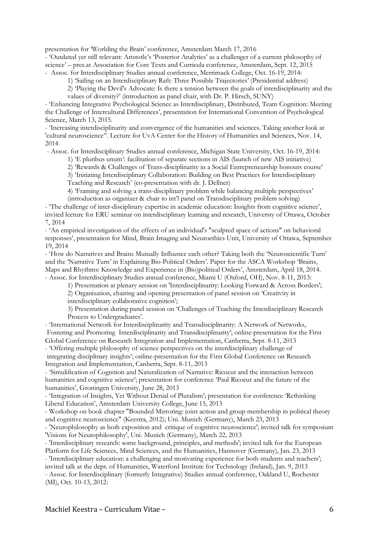presentation for 'Worlding the Brain' conference, Amsterdam March 17, 2016

- 'Outdated yet still relevant: Aristotle's 'Posterior Analytics' as a challenger of a current philosophy of science' – pres.at Association for Core Texts and Curricula conference, Amsterdam, Sept. 12, 2015

- Assoc. for Interdisciplinary Studies annual conference, Merrimack College, Oct. 16-19, 2014:

1) 'Sailing on an Interdisciplinary Raft: Three Possible Trajectories' (Presidential address)

2) 'Playing the Devil's Advocate: Is there a tension between the goals of interdisciplinarity and the values of diversity?' (introduction as panel chair, with Dr. P. Hirsch, SUNY)

- 'Enhancing Integrative Psychological Science as Interdisciplinary, Distributed, Team Cognition: Meeting the Challenge of Intercultural Differences', presentation for International Convention of Psychological Science, March 13, 2015.

- 'Increasing interdisciplinarity and convergence of the humanities and sciences. Taking another look at 'cultural neuroscience''. Lecture for UvA Center for the History of Humanities and Sciences, Nov. 14, 2014

- Assoc. for Interdisciplinary Studies annual conference, Michigan State University, Oct. 16-19, 2014:

1) 'E pluribus unum': facilitation of separate sections in AIS (launch of new AIS initiative)

2) 'Rewards & Challenges of Trans-disciplinarity in a Social Entrepreneurship honours course'

3) 'Initiating Interdisciplinary Collaboration: Building on Best Practices for Interdisciplinary

Teaching and Research' (co-presentation with dr. J. Dellner)

4) 'Framing and solving a trans-disciplinary problem while balancing multiple perspectives' (introduction as organizer & chair to int'l panel on Transdisciplinary problem solving)

- 'The challenge of inter-disciplinary expertise in academic education: Insights from cognitive science', invited lecture for ERU seminar on interdisciplinary learning and research, Universty of Ottawa, October 7, 2014

- 'An empirical investigation of the effects of an individual's "sculpted space of actions" on behavioral responses', presentation for Mind, Brain Imaging and Neuroethics Unit, University of Ottawa, September 19, 2014

- 'How do Narratives and Brains Mutually Influence each other? Taking both the 'Neuroscientific Turn' and the 'Narrative Turn' in Explaining Bio-Political Orders'. Paper for the ASCA Workshop 'Brains, Maps and Rhythms: Knowledge and Experience in (Bio)political Orders', Amsterdam, April 18, 2014. - Assoc. for Interdisciplinary Studies annual conference, Miami U (Oxford, OH), Nov. 8-11, 2013:

1) Presentation at plenary session on 'Interdisciplinarity: Looking Forward & Across Borders';

2) Organisation, chairing and opening presentation of panel session on 'Creativity in

interdisciplinary collaborative cognition';

3) Presentation during panel session on 'Challenges of Teaching the Interdisciplinary Research Process to Undergraduates'.

- 'International Network for Interdisciplinarity and Transdisciplinarity: A Network of Networks, Fostering and Promoting Interdisciplinarity and Transdisciplinarity'; online-presentation for the First Global Conference on Research Integration and Implementation, Canberra, Sept. 8-11, 2013

- 'Offering multiple philosophy of science perspectives on the interdisciplinary challenge of integrating disciplinary insights'; online-presentation for the First Global Conference on Research Integration and Implementation, Canberra, Sept. 8-11, 2013

- 'Simulification of Cognition and Naturalization of Narrative: Ricoeur and the interaction between humanities and cognitive science'; presentation for conference 'Paul Ricoeur and the future of the humanities', Groningen University, June 28, 2013

- 'Integration of Insights, Yet Without Denial of Pluralism'; presentation for conference 'Rethinking Liberal Education', Amsterdam University College, June 15, 2013

- Workshop on book chapter "Bounded Mirroring: joint action and group membership in political theory and cognitive neuroscience" (Keestra, 2012); Uni. Munich (Germany), March 23, 2013

- 'Neurophilosophy as both exposition and critique of cognitive neuroscience'; invited talk for symposium 'Visions for Neurophilosophy', Uni. Munich (Germany), March 22, 2013

- 'Interdisciplinary research: some background, principles, and methods'; invited talk for the European Platform for Life Sciences, Mind Sciences, and the Humanities, Hannover (Germany), Jan. 23, 2013

- 'Interdisciplinary education: a challenging and motivating experience for both students and teachers'; invited talk at the dept. of Humanities, Waterford Institute for Technology (Ireland), Jan. 9, 2013

- Assoc. for Interdisciplinary (formerly Integrative) Studies annual conference, Oakland U, Rochester (MI), Oct. 10-13, 2012: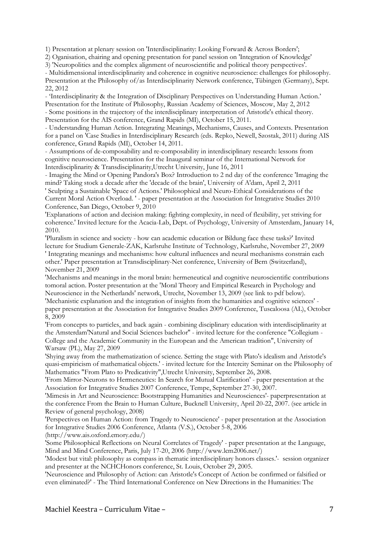1) Presentation at plenary session on 'Interdisciplinarity: Looking Forward & Across Borders';

2) Oganisation, chairing and opening presentation for panel session on 'Integration of Knowledge'

3) 'Neuropolitics and the complex alignment of neuroscientific and political theory perspectives'.

- Multidimensional interdisciplinarity and coherence in cognitive neuroscience: challenges for philosophy. Presentation at the Philosophy of/as Interdisciplinarity Network conference, Tübingen (Germany), Sept. 22, 2012

- 'Interdisciplinarity & the Integration of Disciplinary Perspectives on Understanding Human Action.' Presentation for the Institute of Philosophy, Russian Academy of Sciences, Moscow, May 2, 2012 - Some positions in the trajectory of the interdisciplinary interpretation of Aristotle's ethical theory. Presentation for the AIS conference, Grand Rapids (MI), October 15, 2011.

- Understanding Human Action. Integrating Meanings, Mechanisms, Causes, and Contexts. Presentation for a panel on 'Case Studies in Interdisciplinary Research (eds. Repko, Newell, Szostak, 2011) during AIS conference, Grand Rapids (MI), October 14, 2011.

- Assumptions of de-composability and re-composability in interdisciplinary research: lessons from cognitive neuroscience. Presentation for the Inaugural seminar of the International Network for Interdisciplinarity & Transdisciplinarity,Utrecht University, June 16, 2011

- Imaging the Mind or Opening Pandora's Box? Introduction to 2 nd day of the conference 'Imaging the mind? Taking stock a decade after the 'decade of the brain', University of A'dam, April 2, 2011

' Sculpting a Sustainable 'Space of Actions.' Philosophical and Neuro-Ethical Considerations of the Current Moral Action Overload. ' - paper presentation at the Association for Integrative Studies 2010 Conference, San Diego, October 9, 2010

'Explanations of action and decision making: fighting complexity, in need of flexibility, yet striving for coherence.' Invited lecture for the Acacia-Lab, Dept. of Psychology, University of Amsterdam, January 14, 2010.

'Pluralism in science and society - how can academic education or Bildung face these tasks?' Invited lecture for Studium Generale-ZAK, Karlsruhe Institute of Technology, Karlsruhe, November 27, 2009 ' Integrating meanings and mechanisms: how cultural influences and neural mechanisms constrain each other.' Paper presentation at Transdisciplinary-Net conference, University of Bern (Switzerland), November 21, 2009

'Mechanisms and meanings in the moral brain: hermeneutical and cognitive neuroscientific contributions tomoral action. Poster presentation at the 'Moral Theory and Empirical Research in Psychology and Neuroscience in the Netherlands' network, Utrecht, November 13, 2009 (see link to pdf below).

'Mechanistic explanation and the integration of insights from the humanities and cognitive sciences' paper presentation at the Association for Integrative Studies 2009 Conference, Tuscaloosa (AL), October 8, 2009

'From concepts to particles, and back again - combining disciplinary education with interdisciplinarity at the Amsterdam'Natural and Social Sciences bachelor'' - invited lecture for the conference "Collegium - College and the Academic Community in the European and the American tradition", University of Warsaw (PL), May 27, 2009

'Shying away from the mathematization of science. Setting the stage with Plato's idealism and Aristotle's quasi-empiricism of mathematical objects.' - invited lecture for the Intercity Seminar on the Philosophy of Mathematics "From Plato to Predicativity",Utrecht University, September 26, 2008.

'From Mirror-Neurons to Hermeneutics: In Search for Mutual Clarification' - paper presentation at the Association for Integrative Studies 2007 Conference, Tempe, September 27-30, 2007.

'Mimesis in Art and Neuroscience: Bootstrapping Humanities and Neurosciences'- paperpresentation at the conference From the Brain to Human Culture, Bucknell University, April 20-22, 2007. (see article in Review of general psychology, 2008)

'Perspectives on Human Action: from Tragedy to Neuroscience' - paper presentation at the Association for Integrative Studies 2006 Conference, Atlanta (V.S.), October 5-8, 2006

(http://www.ais.oxford.emory.edu/)

'Some Philosophical Reflections on Neural Correlates of Tragedy' - paper presentation at the Language, Mind and Mind Conference, Paris, July 17-20, 2006 (http://www.lcm2006.net/)

'Modest but vital: philosophy as compass in thematic interdisciplinary honors classes.'- session organizer and presenter at the NCHCHonors conference, St. Louis, October 29, 2005.

'Neuroscience and Philosophy of Action: can Aristotle's Concept of Action be confirmed or falsified or even eliminated?' - The Third International Conference on New Directions in the Humanities: The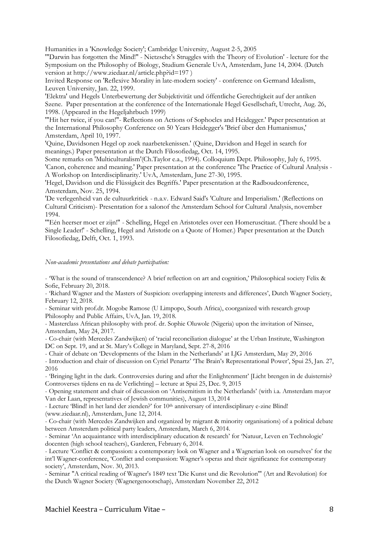Humanities in a 'Knowledge Society'; Cambridge University, August 2-5, 2005

'"Darwin has forgotten the Mind!" - Nietzsche's Struggles with the Theory of Evolution' - lecture for the Symposium on the Philosophy of Biology, Studium Generale UvA, Amsterdam, June 14, 2004. (Dutch version at http://www.ziedaar.nl/article.php?id=197)

Invited Response on 'Reflexive Morality in late-modern society' - conference on Germand Idealism, Leuven University, Jan. 22, 1999.

'Elektra' und Hegels Unterbewertung der Subjektivität und öffentliche Gerechtigkeit auf der antiken Szene. Paper presentation at the conference of the Internationale Hegel Gesellschaft, Utrecht, Aug. 26, 1998. (Appeared in the Hegeljahrbuch 1999)

'"Hit her twice, if you can!"- Reflections on Actions of Sophocles and Heidegger.' Paper presentation at the International Philosophy Conference on 50 Years Heidegger's 'Brief über den Humanismus,' Amsterdam, April 10, 1997.

'Quine, Davidsonen Hegel op zoek naarbetekenissen.' (Quine, Davidson and Hegel in search for meanings.) Paper presentation at the Dutch Filosofiedag, Oct. 14, 1995.

Some remarks on 'Multiculturalism'(Ch.Taylor e.a., 1994). Colloquium Dept. Philosophy, July 6, 1995. 'Canon, coherence and meaning.' Paper presentation at the conference 'The Practice of Cultural Analysis - A Workshop on Interdisciplinarity.' UvA, Amsterdam, June 27-30, 1995.

'Hegel, Davidson und die Flüssigkeit des Begriffs.' Paper presentation at the Radboudconference, Amsterdam, Nov. 25, 1994.

'De verlegenheid van de cultuurkritiek - n.a.v. Edward Said's 'Culture and Imperialism.' (Reflections on Cultural Criticism)- Presentation for a salonof the Amsterdam School for Cultural Analysis, november 1994.

'"Eén heerser moet er zijn!" - Schelling, Hegel en Aristoteles over een Homeruscitaat. ('There should be a Single Leader!' - Schelling, Hegel and Aristotle on a Quote of Homer.) Paper presentation at the Dutch Filosofiedag, Delft, Oct. 1, 1993.

#### *Non-academic presentations and debate participation:*

- 'What is the sound of transcendence? A brief reflection on art and cognition,' Philosophical society Felix & Sofie, February 20, 2018.

- 'Richard Wagner and the Masters of Suspicion: overlapping interests and differences', Dutch Wagner Society, February 12, 2018.

- Seminar with prof.dr. Mogobe Ramose (U Limpopo, South Africa), coorganized with research group Philosophy and Public Affairs, UvA, Jan. 19, 2018.

- Masterclass African philosophy with prof. dr. Sophie Oluwole (Nigeria) upon the invitation of Ninsee, Amsterdam, May 24, 2017.

- Co-chair (with Mercedes Zandwijken) of 'racial reconciliation dialogue' at the Urban Institute, Washington DC on Sept. 19, and at St. Mary's College in Maryland, Sept. 27-8, 2016

- Chair of debate on 'Developments of the Islam in the Netherlands' at LJG Amsterdam, May 29, 2016

- Introduction and chair of discussion on Cyriel Penartz' 'The Brain's Representational Power', Spui 25, Jan. 27, 2016

- 'Bringing light in the dark. Controversies during and after the Enlightenment' [Licht brengen in de duisternis? Controverses tijdens en na de Verlichting] – lecture at Spui 25, Dec. 9, 2015

- Opening statement and chair of discussion on 'Antisemitism in the Netherlands' (with i.a. Amsterdam mayor Van der Laan, representatives of Jewish communities), August 13, 2014

- Lecture 'Blind! in het land der zienden?' for 10<sup>th</sup> anniversary of interdisciplinary e-zine Blind! (www.ziedaar.nl), Amsterdam, June 12, 2014.

- Co-chair (with Mercedes Zandwijken and organized by migrant & minority organisations) of a political debate between Amsterdam political party leaders, Amsterdam, March 6, 2014.

- Seminar 'An acquaintance with interdisciplinary education & research' for 'Natuur, Leven en Technologie' docenten (high school teachers), Garderen, February 6, 2014.

- Lecture 'Conflict & compassion: a contemporary look on Wagner and a Wagnerian look on ourselves' for the int'l Wagner-conference, 'Conflict and compassion: Wagner's operas and their significance for contemporary society', Amsterdam, Nov. 30, 2013.

- Seminar "A critical reading of Wagner's 1849 text 'Die Kunst und die Revolution'" (Art and Revolution) for the Dutch Wagner Society (Wagnergenootschap), Amsterdam November 22, 2012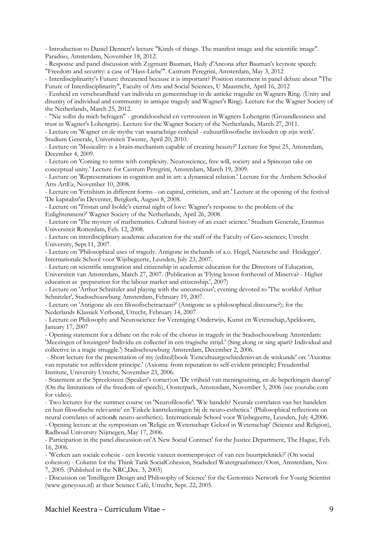- Introduction to Daniel Dennett's lecture "Kinds of things. The manifest image and the scientific image". Paradiso, Amsterdam, November 18, 2012.

- Response and panel discussion with Zygmunt Bauman, Hedy d'Ancona after Bauman's keynote speech: "Freedom and security: a case of 'Hass-Liebe'". Castrum Peregrini, Amsterdam, May 3, 2012

- Interdisciplinarity's Future: threatened because it is important? Position statement in panel debate about "The Future of Interdisciplinarity", Faculty of Arts and Social Sciences, U Maastricht, April 16, 2012

- Eenheid en verscheurdheid van individu en gemeenschap in de antieke tragedie en Wagners Ring. (Unity and disunity of individual and community in antique tragedy and Wagner's Ring). Lecture for the Wagner Society of the Netherlands, March 25, 2012.

- "Nie sollst du mich befragen" - grondeloosheid en vertrouwen in Wagners Lohengrin (Groundlessness and trust in Wagner's Lohengrin). Lecture for the Wagner Society of the Netherlands, March 27, 2011.

- Lecture on 'Wagner en de mythe van waarachtige eenheid - cultuurfilosofische invloeden op zijn werk'. Studium Generale, Universiteit Twente, April 20, 2010.

- Lecture on 'Musicality: is a brain-mechanism capable of creating beauty?' Lecture for Spui 25, Amsterdam, December 4, 2009.

- Lecture on 'Coming to terms with complexity. Neuroscience, free will, society and a Spinozan take on conceptual unity.' Lecture for Castrum Peregrini, Amsterdam, March 19, 2009.

- Lecture on 'Representations in cognition and in art: a dynamical relation.' Lecture for the Arnhem Schoolof Arts ArtEz, November 10, 2008.

- Lecture on 'Fetishism in different forms - on capital, criticism, and art.' Lecture at the opening of the festival 'De kapitalist'in Deventer, Bergkerk, August 8, 2008.

- Lecture on 'Tristan und Isolde's eternal night of love: Wagner's response to the problem of the Enlightenment?' Wagner Society of the Netherlands, April 26, 2008.

- Lecture on 'The mystery of mathematics. Cultural history of an exact science.' Studium Generale, Erasmus Universiteit Rotterdam, Feb. 12, 2008.

- Lecture on interdisciplinary academic education for the staff of the Faculty of Geo-sciences; Utrecht University, Sept.11, 2007.

- Lecture on 'Philosophical uses of tragedy. Antigone in thehands of a.o. Hegel, Nietzsche and Heidegger'. Internationale School voor Wijsbegeerte, Leusden, July 23, 2007.

- Lecture on scientific integration and citizenship in academic education for the Directors of Education, Universiteit van Amsterdam, March 27, 2007. (Publication as 'Flying lesson fortheowl of Minerva? - Higher education as preparation for the labour market and citizenship.', 2007)

- Lecture on 'Arthur Schnitzler and playing with the unconscious'; evening devoted to 'The worldof Arthur Schnitzler', Stadsschouwburg Amsterdam, February 19, 2007.

- Lecture on 'Antigone als een filosofischetractaat?' (Antigone as a philosophical discourse?); for the Nederlands Klassiek Verbond, Utrecht, February 14, 2007.

- Lecture on Philosophy and Neuroscience for Vereniging Onderwijs, Kunst en Wetenschap,Apeldoorn, January 17, 2007

- Opening statement for a debate on the role of the chorus in tragedy in the Stadsschouwburg Amsterdam: 'Meezingen of loszingen? Individu en collectief in een tragische strijd.' (Sing along or sing apart? Individual and collective in a tragic struggle.') Stadsschouwburg Amsterdam, December 2, 2006.

- Short lecture for the presentation of my (edited)book 'Eencultuurgeschiedenisvan de wiskunde' on: 'Axioma: van reputatie tot zelfevident principe.' (Axioma: from reputation to self-evident principle) Freudenthal Institute, University Utrecht, November 23, 2006.

- Statement at the Spreeksteen (Speaker's corner)on 'De vrijheid van meningsuiting, en de beperkingen daarop' (On the limitations of the freedom of speech), Oosterpark, Amsterdam, November 5, 2006 (see youtube.com for video).

- Two lectures for the summer course on 'Neurofilosofie': 'Wie handelt? Neurale correlaten van het handelen en hun filosofische relevantie' en 'Enkele kanttekeningen bij de neuro-esthetica.' (Philosophical reflections on neural correlates of action& neuro-aesthetics). Internationale School voor Wijsbegeerte, Leusden, July 4,2006. - Opening lecture at the symposium on 'Religie en Wetenschap: Geloof in Wetenschap' (Science and Religion), Radboud University Nijmegen, May 17, 2006.

- Participation in the panel discussion on'A New Social Contract' for the Justice Department, The Hague, Feb. 16, 2006.

- 'Werken aan sociale cohesie - een kwestie vaneen normenproject of van een buurtpicknick?' (On social cohesion) - Column for the Think Tank SocialCohesion, Stadsdeel Watergraafsmeer/Oost, Amsterdam, Nov. 7, 2005. (Published in the NRC,Dec. 3, 2005)

- Discussion on 'Intelligent Design and Philosophy of Science' for the Genomics Network for Young Scientist (www.geneyous.nl) at their Science Café, Utrecht, Sept. 22, 2005.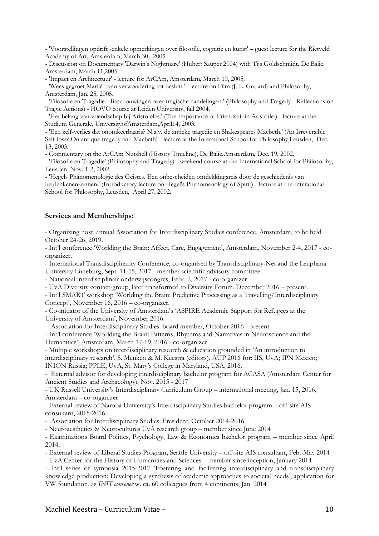- 'Voorstellingen opdrift -enkele opmerkingen over filosofie, cognitie en kunst' – guest lecture for the Rietveld Academy of Art, Amsterdam, March 30, 2005.

- Discussion on Documentary 'Darwin's Nightmare' (Hubert Sauper 2004) with Tijs Goldschmidt. De Balie, Amsterdam, March 11,2005.

- 'Impact en Architectuur' - lecture for ArCAm, Amsterdam, March 10, 2005.

- 'Wees gegroet,Maria! - van verwondering tot besluit.' - lecture on Film (J. L. Godard) and Philosophy, Amsterdam, Jan. 25, 2005.

- 'Filosofie en Tragedie - Beschouwingen over tragische handelingen.' (Philosophy and Tragedy - Reflections on Tragic Actions) - HOVO course at Leiden University, fall 2004.

- 'Het belang van vriendschap bij Aristoteles.' (The Importance of Friendshipin Aristotle.) - lecture at the Studium Generale, UniversityofAmsterdam,April14, 2003.

- 'Een zelf-verlies dat onomkeerbaaris? N.a.v. de antieke tragedie en Shakespeares Macbeth.' (An Irreversible Self-loss? On antique tragedy and Macbeth) - lecture at the Interational School for Philosophy,Leusden, Dec. 13, 2003.

- Commentary on the ArCAm Nutshell (History Timeline), De Balie,Amsterdam, Dec. 19, 2002.

- 'Filosofie en Tragedie' (Philosophy and Tragedy) - weekend course at the International School for Philosophy, Leusden, Nov. 1-2, 2002

- 'Hegels Phänomenologie des Geistes. Een onbescheiden ontdekkingsreis door de geschiedenis van hetdenkenenkennen.' (Introductory lecture on Hegel's Phenomenology of Spirit) - lecture at the Interational School for Philosophy, Leusden, April 27, 2002.

#### **Services and Memberships:**

- Organizing host, annual Association for Interdisciplinary Studies conference, Amsterdam, to be held October 24-26, 2019.

- Int'l conference 'Worlding the Brain: Affect, Care, Engagement', Amsterdam, November 2-4, 2017 - coorganizer.

- International Transdisciplinarity Conference, co-organised by Transdisciplinary-Net and the Leuphana University Lüneburg, Sept. 11-15, 2017 - member scientific advisory committee.

- Nationaal interdisciplinair onderwijscongres, Febr. 2, 2017 - co-organizer

- UvA Diversity contact-group, later transformed to Diversity Forum, December 2016 – present.

- Int'l SMART workshop 'Worlding the Brain: Predictive Processing as a Travelling/Interdisciplinary Concept', November 16, 2016 – co-organizer.

- Co-initiator of the University of Amsterdam's 'ASPIRE Academic Support for Refugees at the University of Amsterdam', November 2016.

- Association for Interdisciplinary Studies: board member, October 2016 - present

- Int'l conference 'Worlding the Brain: Patterns, Rhythms and Narratives in Neuroscience and the Humanities', Amsterdam, March 17-19, 2016 - co-organizer

- Multiple workshops on interdisciplinary research & education grounded in 'An introduction to interdisciplinary research', S. Menken & M. Keestra (editors), AUP 2016 for: IIS, UvA; IPN Mexico; INION Russia; PPLE, UvA, St. Mary's College in Maryland, USA, 2016.

- External advisor for developing interdisciplinary bachelor program for ACASA (Amsterdam Center for Ancient Studies and Archaeology), Nov. 2015 - 2017

- UK Russell University's Interdisciplinary Curriculum Group – international meeting, Jan. 15, 2016, Amsterdam – co-organizer

- External review of Naropa University's Interdisciplinary Studies bachelor program – off-site AIS consultant, 2015-2016

- Association for Interdisciplinary Studies: President, October 2014-2016

- Neuroaesthetics & Neurocultures UvA research group – member since June 2014

- Examinations Board Politics, Psychology, Law & Economics bachelor program – member since April 2014.

- External review of Liberal Studies Program, Seattle University – off-site AIS consultant, Feb.-May 2014

- UvA Center for the History of Humanities and Sciences – member since inception, January 2014

- Int'l series of symposia 2015-2017 'Fostering and facilitating interdisciplinary and transdisciplinary knowledge production: Developing a synthesis of academic approaches to societal needs', application for VW foundation, as *INIT convener* w. ca. 60 colleagues from 4 continents, Jan. 2014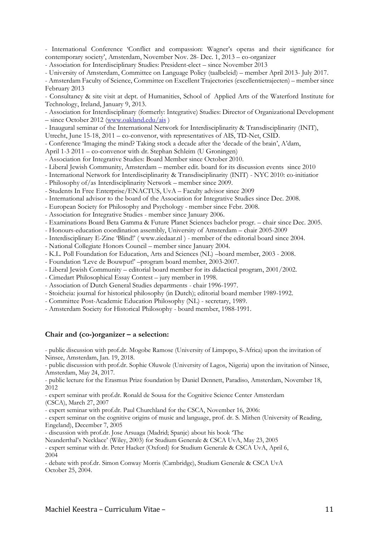- International Conference 'Conflict and compassion: Wagner's operas and their significance for contemporary society', Amsterdam, November Nov. 28- Dec. 1, 2013 – co-organizer

- Association for Interdisciplinary Studies: President-elect – since November 2013

- University of Amsterdam, Committee on Language Policy (taalbeleid) – member April 2013- July 2017.

- Amsterdam Faculty of Science, Committee on Excellent Trajectories (excellentietrajecten) – member since February 2013

- Consultancy & site visit at dept. of Humanities, School of Applied Arts of the Waterford Institute for Technology, Ireland, January 9, 2013.

- Association for Interdisciplinary (formerly: Integrative) Studies: Director of Organizational Development – since October 2012 (www.oakland.edu/ais )

- Inaugural seminar of the International Network for Interdisciplinarity & Transdisciplinarity (INIT),

Utrecht, June 15-18, 2011 – co-convenor, with representatives of AIS, TD-Net, CSID.

- Conference 'Imaging the mind? Taking stock a decade after the 'decade of the brain', A'dam,

April 1-3 2011 – co-convenor with dr. Stephan Schleim (U Groningen)

- Association for Integrative Studies: Board Member since October 2010.

- Liberal Jewish Community, Amsterdam – member edit. board for its discussion events since 2010

- International Network for Interdisciplinarity & Transdisciplinarity (INIT) - NYC 2010: co-initiatior

- Philosophy of/as Interdisciplinarity Network – member since 2009.

- Students In Free Enterprise/ENACTUS, UvA – Faculty advisor since 2009

- International advisor to the board of the Association for Integrative Studies since Dec. 2008.

- European Society for Philosophy and Psychology - member since Febr. 2008.

- Association for Integrative Studies - member since January 2006.

- Examinations Board Beta Gamma & Future Planet Sciences bachelor progr. – chair since Dec. 2005.

- Honours-education coordination assembly, University of Amsterdam – chair 2005-2009

- Interdisciplinary E-Zine 'Blind!' ( www.ziedaar.nl ) - member of the editorial board since 2004.

- National Collegiate Honors Council – member since January 2004.

- K.L. Poll Foundation for Education, Arts and Sciences (NL) –board member, 2003 - 2008.

- Foundation 'Leve de Bouwput!' –program board member, 2003-2007.

- Liberal Jewish Community – editorial board member for its didactical program, 2001/2002.

- Cimedart Philosophical Essay Contest – jury member in 1998.

- Association of Dutch General Studies departments - chair 1996-1997.

- Stoicheia: journal for historical philosophy (in Dutch); editorial board member 1989-1992.

- Committee Post-Academic Education Philosophy (NL) - secretary, 1989.

- Amsterdam Society for Historical Philosophy - board member, 1988-1991.

#### **Chair and (co-)organizer – a selection:**

- public discussion with prof.dr. Mogobe Ramose (University of Limpopo, S-Africa) upon the invitation of Ninsee, Amsterdam, Jan. 19, 2018.

- public discussion with prof.dr. Sophie Oluwole (University of Lagos, Nigeria) upon the invitation of Ninsee, Amsterdam, May 24, 2017.

- public lecture for the Erasmus Prize foundation by Daniel Dennett, Paradiso, Amsterdam, November 18, 2012

- expert seminar with prof.dr. Ronald de Sousa for the Cognitive Science Center Amsterdam (CSCA), March 27, 2007

- expert seminar with prof.dr. Paul Churchland for the CSCA, November 16, 2006:

- expert seminar on the cognitive origins of music and language, prof. dr. S. Mithen (University of Reading, Engeland), December 7, 2005

- discussion with prof.dr. Jose Arsuaga (Madrid; Spanje) about his book 'The

Neanderthal's Necklace' (Wiley, 2003) for Studium Generale & CSCA UvA, May 23, 2005

- expert seminar with dr. Peter Hacker (Oxford) for Studium Generale & CSCA UvA, April 6, 2004

- debate with prof.dr. Simon Conway Morris (Cambridge), Studium Generale & CSCA UvA October 25, 2004.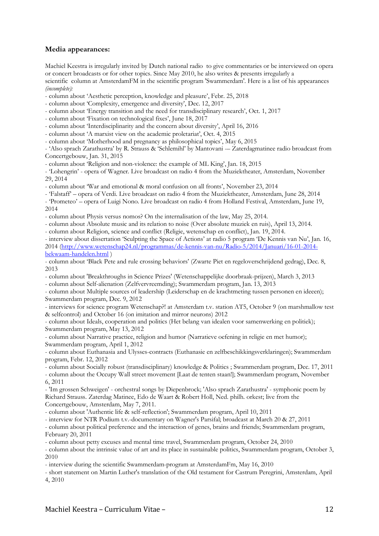## **Media appearances:**

Machiel Keestra is irregularly invited by Dutch national radio to give commentaries or be interviewed on opera or concert broadcasts or for other topics. Since May 2010, he also writes & presents irregularly a scientific column at AmsterdamFM in the scientific program 'Swammerdam'. Here is a list of his appearances

*(incomplete):*

- column about 'Aesthetic perception, knowledge and pleasure', Febr. 25, 2018

- column about 'Complexity, emergence and diversity', Dec. 12, 2017

- column about 'Energy transition and the need for transdisciplinary research', Oct. 1, 2017

- column about 'Fixation on technological fixes', June 18, 2017

- column about 'Interdisciplinarity and the concern about diversity', April 16, 2016

- column about 'A marxist view on the academic proletariat', Oct. 4, 2015

- column about 'Motherhood and pregnancy as philosophical topics', May 6, 2015

- 'Also sprach Zarathustra' by R. Strauss & 'Schlemihl' by Mantovani -– Zaterdagmatinee radio broadcast from Concertgebouw, Jan. 31, 2015

- column about 'Religion and non-violence: the example of ML King', Jan. 18, 2015

- 'Lohengrin' - opera of Wagner. Live broadcast on radio 4 from the Muziektheater, Amsterdam, November 29, 2014

- column about 'War and emotional & moral confusion on all fronts', November 23, 2014

- 'Falstaff' – opera of Verdi. Live broadcast on radio 4 from the Muziektheater, Amsterdam, June 28, 2014

- 'Prometeo' – opera of Luigi Nono. Live broadcast on radio 4 from Holland Festival, Amsterdam, June 19, 2014

- column about Physis versus nomos? On the internalisation of the law, May 25, 2014.

- column about Absolute music and its relation to noise (Over absolute muziek en ruis), April 13, 2014.

- column about Religion, science and conflict (Religie, wetenschap en conflict), Jan. 19, 2014.

- interview about dissertation 'Sculpting the Space of Actions' at radio 5 program 'De Kennis van Nu', Jan. 16, 2014 (http://www.wetenschap24.nl/programmas/de-kennis-van-nu/Radio-5/2014/Januari/16-01-2014 bekwaam-handelen.html )

- column about 'Black Pete and rule crossing behaviors' (Zwarte Piet en regeloverschrijdend gedrag), Dec. 8, 2013

- column about 'Breakthroughs in Science Prizes' (Wetenschappelijke doorbraak-prijzen), March 3, 2013

- column about Self-alienation (Zelfvervreemding); Swammerdam program, Jan. 13, 2013

- column about Multiple sources of leadership (Leiderschap en de krachtmeting tussen personen en ideeen); Swammerdam program, Dec. 9, 2012

- interviews for science program Wetenschap?! at Amsterdam t.v. station AT5, October 9 (on marshmallow test & selfcontrol) and October 16 (on imitation and mirror neurons) 2012

- column about Ideals, cooperation and politics (Het belang van idealen voor samenwerking en politiek); Swammerdam program, May 13, 2012

- column about Narrative practice, religion and humor (Narratieve oefening in religie en met humor); Swammerdam program, April 1, 2012

- column about Euthanasia and Ulysses-contracts (Euthanasie en zelfbeschikkingsverklaringen); Swammerdam program, Febr. 12, 2012

- column about Socially robust (transdisciplinary) knowledge & Politics ; Swammerdam program, Dec. 17, 2011

- column about the Occupy Wall street movement [Laat de tenten staan!]; Swammerdam program, November 6, 2011

- 'Im grossen Schweigen' - orchestral songs by Diepenbrock; 'Also sprach Zarathustra' - symphonic poem by Richard Strauss. Zaterdag Matinee, Edo de Waart & Robert Holl, Ned. philh. orkest; live from the Concertgebouw, Amsterdam, May 7, 2011.

- column about 'Authentic life & self-reflection'; Swammerdam program, April 10, 2011

- interview for NTR Podium t.v.-documentary on Wagner's Parsifal; broadcast at March 20 & 27, 2011

- column about political preference and the interaction of genes, brains and friends; Swammerdam program, February 20, 2011

- column about petty excuses and mental time travel, Swammerdam program, October 24, 2010

- column about the intrinsic value of art and its place in sustainable politics, Swammerdam program, October 3, 2010

- interview during the scientific Swammerdam-program at AmsterdamFm, May 16, 2010

- short statement on Martin Luther's translation of the Old testament for Castrum Peregrini, Amsterdam, April 4, 2010